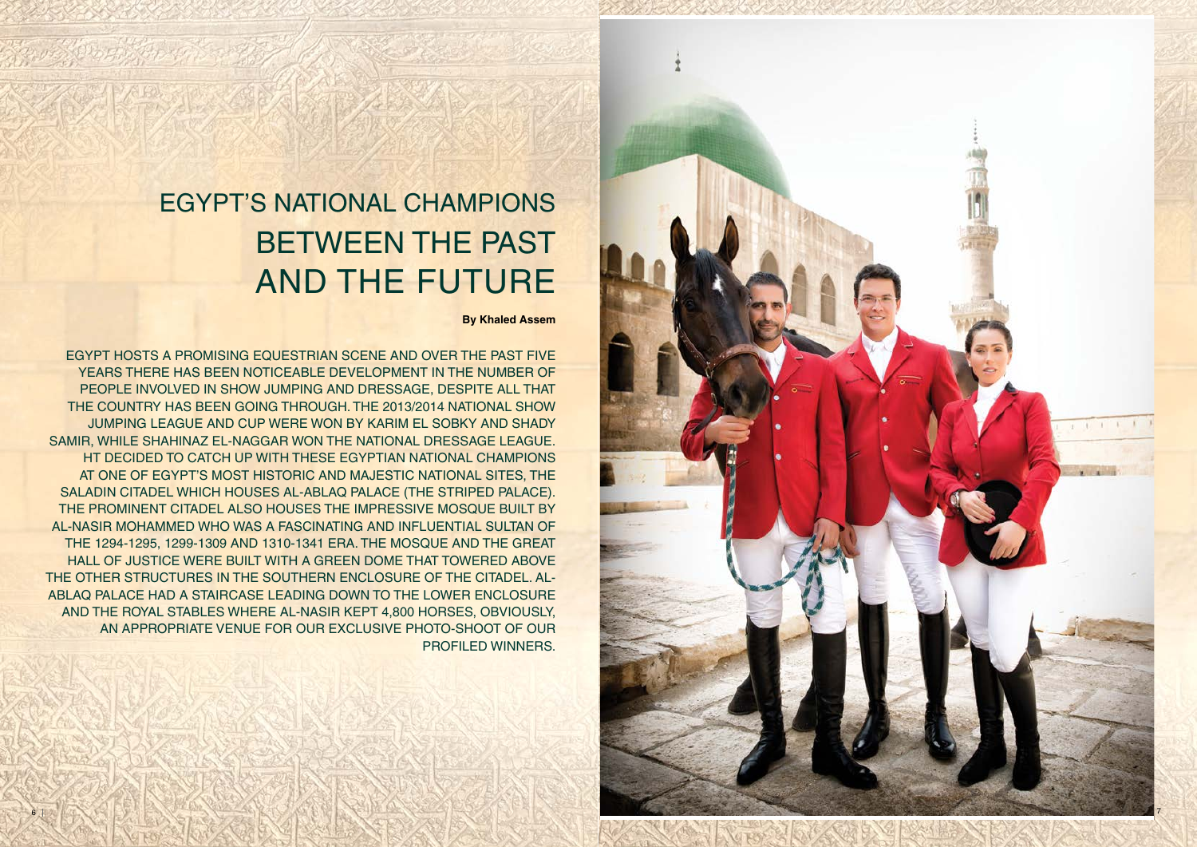# BETWEEN THE PAST AND THE FUTURE EGYPT'S NATIONAL CHAMPIONS

**By Khaled Assem**

EGYPT HOSTS A PROMISING EQUESTRIAN SCENE AND OVER THE PAST FIVE YEARS THERE HAS BEEN NOTICEABLE DEVELOPMENT IN THE NUMBER OF PEOPLE INVOLVED IN SHOW JUMPING AND DRESSAGE, DESPITE ALL THAT THE COUNTRY HAS BEEN GOING THROUGH. THE 2013/2014 NATIONAL SHOW JUMPING LEAGUE AND CUP WERE WON BY KARIM EL SOBKY AND SHADY SAMIR, WHILE SHAHINAZ EL-NAGGAR WON THE NATIONAL DRESSAGE LEAGUE. HT DECIDED TO CATCH UP WITH THESE EGYPTIAN NATIONAL CHAMPIONS AT ONE OF EGYPT'S MOST HISTORIC AND MAJESTIC NATIONAL SITES, THE SALADIN CITADEL WHICH HOUSES AL-ABLAQ PALACE (THE STRIPED PALACE). THE PROMINENT CITADEL ALSO HOUSES THE IMPRESSIVE MOSQUE BUILT BY AL-NASIR MOHAMMED WHO WAS A FASCINATING AND INFLUENTIAL SULTAN OF THE 1294-1295, 1299-1309 AND 1310-1341 ERA. THE MOSQUE AND THE GREAT HALL OF JUSTICE WERE BUILT WITH A GREEN DOME THAT TOWERED ABOVE THE OTHER STRUCTURES IN THE SOUTHERN ENCLOSURE OF THE CITADEL. AL-ABLAQ PALACE HAD A STAIRCASE LEADING DOWN TO THE LOWER ENCLOSURE AND THE ROYAL STABLES WHERE AL-NASIR KEPT 4,800 HORSES, OBVIOUSLY, AN APPROPRIATE VENUE FOR OUR EXCLUSIVE PHOTO-SHOOT OF OUR PROFILED WINNERS.

Profession of the Co

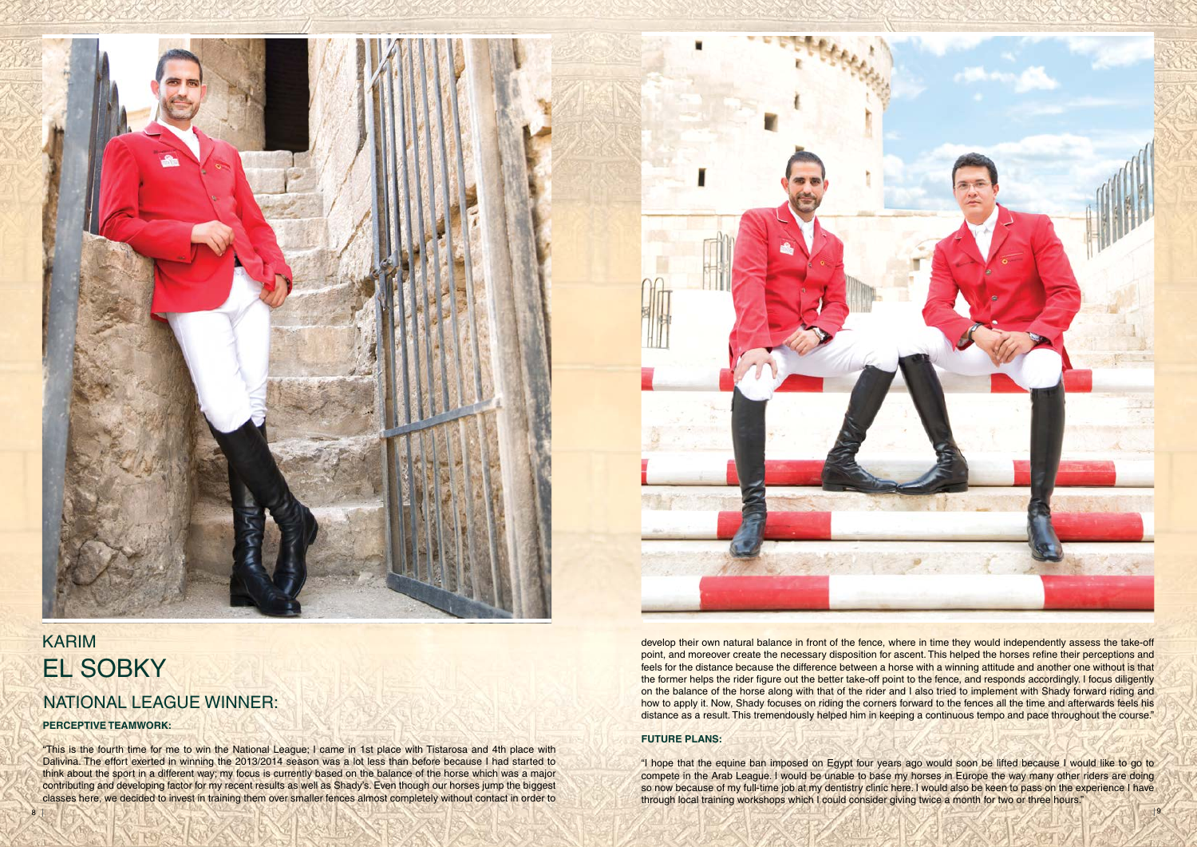#### **FUTURE PLANS:**

"I hope that the equine ban imposed on Egypt four years ago would soon be lifted because I would like to go to compete in the Arab League. I would be unable to base my horses in Europe the way many other riders are doing so now because of my full-time job at my dentistry clinic here. I would also be keen to pass on the experience I have through local training workshops which I could consider giving twice a month for two or three hours."





### KARIM EL SOBKY NATIONAL LEAGUE WINNER:

#### **PERCEPTIVE TEAMWORK:**

"This is the fourth time for me to win the National League; I came in 1st place with Tistarosa and 4th place with Dalivina. The effort exerted in winning the 2013/2014 season was a lot less than before because I had started to think about the sport in a different way; my focus is currently based on the balance of the horse which was a major contributing and developing factor for my recent results as well as Shady's. Even though our horses jump the biggest classes here, we decided to invest in training them over smaller fences almost completely without contact in order to

 develop their own natural balance in front of the fence, where in time they would independently assess the take-off point, and moreover create the necessary disposition for ascent. This helped the horses refine their perceptions and feels for the distance because the difference between a horse with a winning attitude and another one without is that the former helps the rider figure out the better take-off point to the fence, and responds accordingly. I focus diligently on the balance of the horse along with that of the rider and I also tried to implement with Shady forward riding and how to apply it. Now, Shady focuses on riding the corners forward to the fences all the time and afterwards feels his distance as a result. This tremendously helped him in keeping a continuous tempo and pace throughout the course."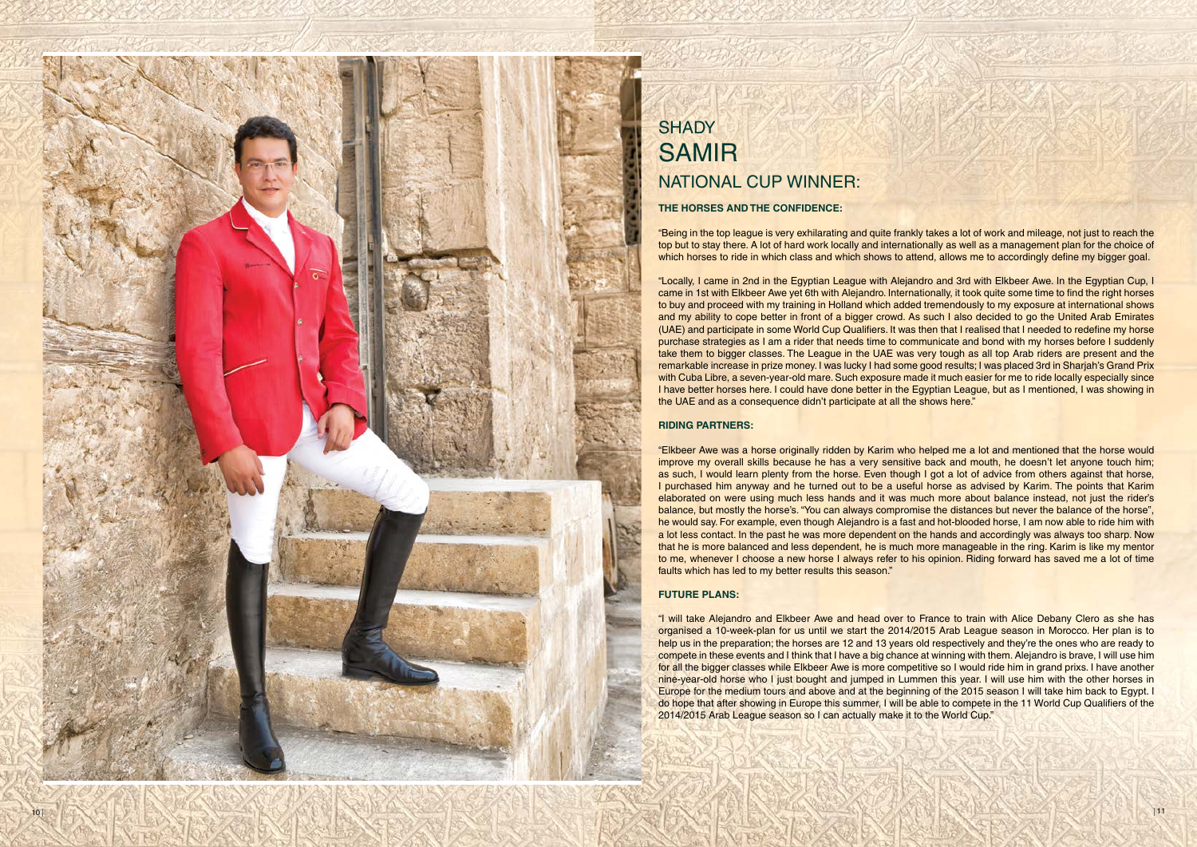

### **SHADY** SAMIR NATIONAL CUP WINNER:

#### **THE HORSES AND THE CONFIDENCE:**

"Being in the top league is very exhilarating and quite frankly takes a lot of work and mileage, not just to reach the top but to stay there. A lot of hard work locally and internationally as well as a management plan for the choice of which horses to ride in which class and which shows to attend, allows me to accordingly define my bigger goal.

"Locally, I came in 2nd in the Egyptian League with Alejandro and 3rd with Elkbeer Awe. In the Egyptian Cup, I came in 1st with Elkbeer Awe yet 6th with Alejandro. Internationally, it took quite some time to find the right horses to buy and proceed with my training in Holland which added tremendously to my exposure at international shows and my ability to cope better in front of a bigger crowd. As such I also decided to go the United Arab Emirates (UAE) and participate in some World Cup Qualifiers. It was then that I realised that I needed to redefine my horse purchase strategies as I am a rider that needs time to communicate and bond with my horses before I suddenly take them to bigger classes. The League in the UAE was very tough as all top Arab riders are present and the remarkable increase in prize money. I was lucky I had some good results; I was placed 3rd in Sharjah's Grand Prix with Cuba Libre, a seven-year-old mare. Such exposure made it much easier for me to ride locally especially since I have better horses here. I could have done better in the Egyptian League, but as I mentioned, I was showing in the UAE and as a consequence didn't participate at all the shows here."

#### **RIDING PARTNERS:**

"Elkbeer Awe was a horse originally ridden by Karim who helped me a lot and mentioned that the horse would improve my overall skills because he has a very sensitive back and mouth, he doesn't let anyone touch him; as such, I would learn plenty from the horse. Even though I got a lot of advice from others against that horse, I purchased him anyway and he turned out to be a useful horse as advised by Karim. The points that Karim elaborated on were using much less hands and it was much more about balance instead, not just the rider's balance, but mostly the horse's. "You can always compromise the distances but never the balance of the horse", he would say. For example, even though Alejandro is a fast and hot-blooded horse, I am now able to ride him with a lot less contact. In the past he was more dependent on the hands and accordingly was always too sharp. Now that he is more balanced and less dependent, he is much more manageable in the ring. Karim is like my mentor to me, whenever I choose a new horse I always refer to his opinion. Riding forward has saved me a lot of time faults which has led to my better results this season."

#### **FUTURE PLANS:**

"I will take Alejandro and Elkbeer Awe and head over to France to train with Alice Debany Clero as she has organised a 10-week-plan for us until we start the 2014/2015 Arab League season in Morocco. Her plan is to help us in the preparation; the horses are 12 and 13 years old respectively and they're the ones who are ready to compete in these events and I think that I have a big chance at winning with them. Alejandro is brave, I will use him for all the bigger classes while Elkbeer Awe is more competitive so I would ride him in grand prixs. I have another nine-year-old horse who I just bought and jumped in Lummen this year. I will use him with the other horses in Europe for the medium tours and above and at the beginning of the 2015 season I will take him back to Egypt. I do hope that after showing in Europe this summer, I will be able to compete in the 11 World Cup Qualifiers of the 2014/2015 Arab League season so I can actually make it to the World Cup."